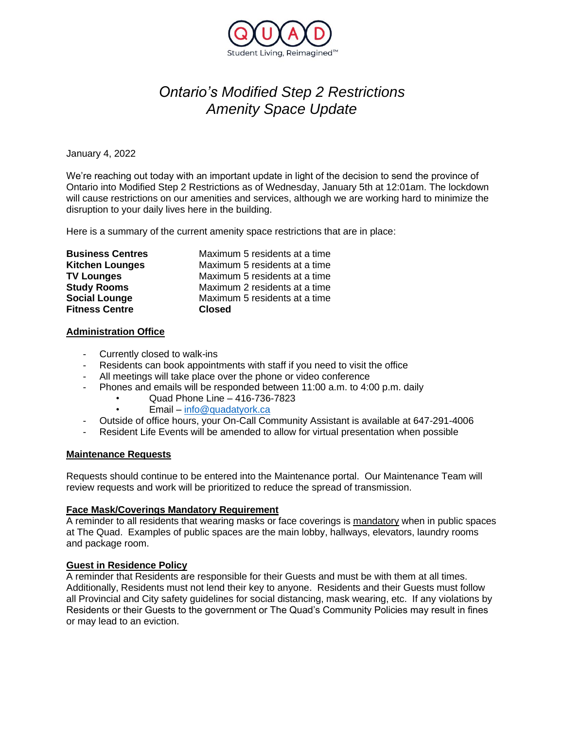

# *Ontario's Modified Step 2 Restrictions Amenity Space Update*

January 4, 2022

We're reaching out today with an important update in light of the decision to send the province of Ontario into Modified Step 2 Restrictions as of Wednesday, January 5th at 12:01am. The lockdown will cause restrictions on our amenities and services, although we are working hard to minimize the disruption to your daily lives here in the building.

Here is a summary of the current amenity space restrictions that are in place:

| <b>Business Centres</b> | Maximum 5 residents at a time |
|-------------------------|-------------------------------|
| <b>Kitchen Lounges</b>  | Maximum 5 residents at a time |
| <b>TV Lounges</b>       | Maximum 5 residents at a time |
| <b>Study Rooms</b>      | Maximum 2 residents at a time |
| <b>Social Lounge</b>    | Maximum 5 residents at a time |
| <b>Fitness Centre</b>   | <b>Closed</b>                 |

## **Administration Office**

- Currently closed to walk-ins
- Residents can book appointments with staff if you need to visit the office
- All meetings will take place over the phone or video conference
- Phones and emails will be responded between 11:00 a.m. to 4:00 p.m. daily
	- Quad Phone Line 416-736-7823
	- Email [info@quadatyork.ca](mailto:info@quadatyork.ca)
	- Outside of office hours, your On-Call Community Assistant is available at 647-291-4006
- Resident Life Events will be amended to allow for virtual presentation when possible

#### **Maintenance Requests**

Requests should continue to be entered into the Maintenance portal. Our Maintenance Team will review requests and work will be prioritized to reduce the spread of transmission.

#### **Face Mask/Coverings Mandatory Requirement**

A reminder to all residents that wearing masks or face coverings is mandatory when in public spaces at The Quad. Examples of public spaces are the main lobby, hallways, elevators, laundry rooms and package room.

## **Guest in Residence Policy**

A reminder that Residents are responsible for their Guests and must be with them at all times. Additionally, Residents must not lend their key to anyone. Residents and their Guests must follow all Provincial and City safety guidelines for social distancing, mask wearing, etc. If any violations by Residents or their Guests to the government or The Quad's Community Policies may result in fines or may lead to an eviction.